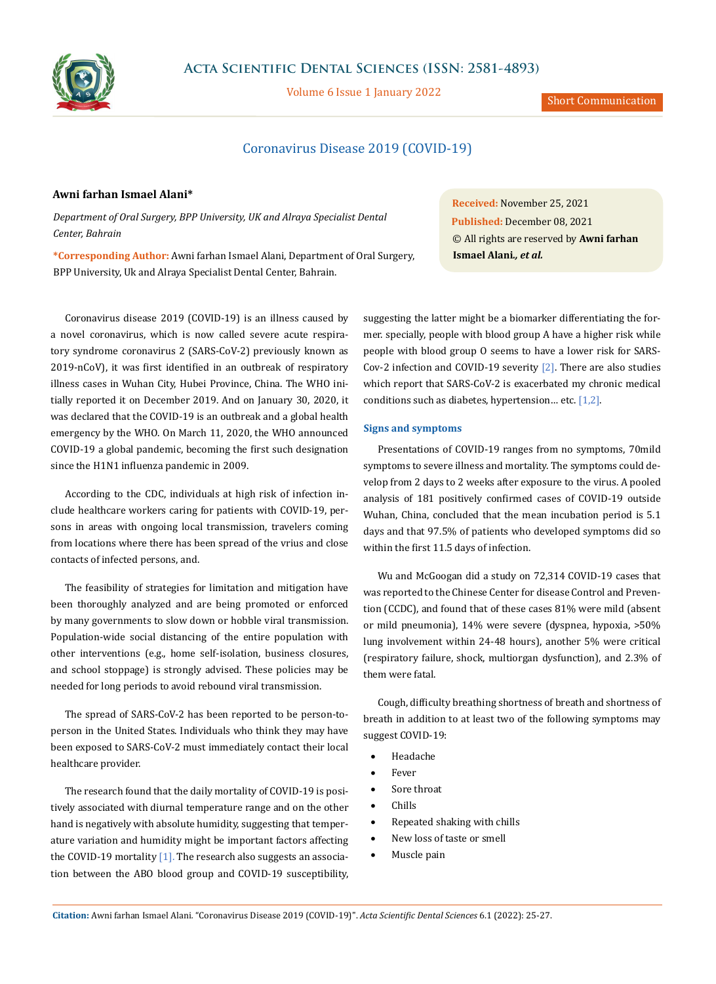

**Acta Scientific Dental Sciences (ISSN: 2581-4893)**

Volume 6 Issue 1 January 2022

# Coronavirus Disease 2019 (COVID-19)

# **Awni farhan Ismael Alani\***

*Department of Oral Surgery, BPP University, UK and Alraya Specialist Dental Center, Bahrain*

**\*Corresponding Author:** Awni farhan Ismael Alani, Department of Oral Surgery, BPP University, Uk and Alraya Specialist Dental Center, Bahrain.

Coronavirus disease 2019 (COVID-19) is an illness caused by a novel coronavirus, which is now called severe acute respiratory syndrome coronavirus 2 (SARS-CoV-2) previously known as 2019-nCoV), it was first identified in an outbreak of respiratory illness cases in Wuhan City, Hubei Province, China. The WHO initially reported it on December 2019. And on January 30, 2020, it was declared that the COVID-19 is an outbreak and a global health emergency by the WHO. On March 11, 2020, the WHO announced COVID-19 a global pandemic, becoming the first such designation since the H1N1 influenza pandemic in 2009.

According to the CDC, individuals at high risk of infection include healthcare workers caring for patients with COVID-19, persons in areas with ongoing local transmission, travelers coming from locations where there has been spread of the vrius and close contacts of infected persons, and.

The feasibility of strategies for limitation and mitigation have been thoroughly analyzed and are being promoted or enforced by many governments to slow down or hobble viral transmission. Population-wide social distancing of the entire population with other interventions (e.g., home self-isolation, business closures, and school stoppage) is strongly advised. These policies may be needed for long periods to avoid rebound viral transmission.

The spread of SARS-CoV-2 has been reported to be person-toperson in the United States. Individuals who think they may have been exposed to SARS-CoV-2 must immediately contact their local healthcare provider.

The research found that the daily mortality of COVID-19 is positively associated with diurnal temperature range and on the other hand is negatively with absolute humidity, suggesting that temperature variation and humidity might be important factors affecting the COVID-19 mortality [1]. The research also suggests an association between the ABO blood group and COVID-19 susceptibility,

**Received:** November 25, 2021 **Published:** December 08, 2021 © All rights are reserved by **Awni farhan Ismael Alani***., et al.*

suggesting the latter might be a biomarker differentiating the former. specially, people with blood group A have a higher risk while people with blood group O seems to have a lower risk for SARS-Cov-2 infection and COVID-19 severity [2]. There are also studies which report that SARS-CoV-2 is exacerbated my chronic medical conditions such as diabetes, hypertension… etc. [1,2].

# **Signs and symptoms**

Presentations of COVID-19 ranges from no symptoms, 70mild symptoms to severe illness and mortality. The symptoms could develop from 2 days to 2 weeks after exposure to the virus. A pooled analysis of 181 positively confirmed cases of COVID-19 outside Wuhan, China, concluded that the mean incubation period is 5.1 days and that 97.5% of patients who developed symptoms did so within the first 11.5 days of infection.

Wu and McGoogan did a study on 72,314 COVID-19 cases that was reported to the Chinese Center for disease Control and Prevention (CCDC), and found that of these cases 81% were mild (absent or mild pneumonia), 14% were severe (dyspnea, hypoxia, >50% lung involvement within 24-48 hours), another 5% were critical (respiratory failure, shock, multiorgan dysfunction), and 2.3% of them were fatal.

Cough, difficulty breathing shortness of breath and shortness of breath in addition to at least two of the following symptoms may suggest COVID-19:

- **Headache**
- **Fever**
- Sore throat
- • Chills
- Repeated shaking with chills
- New loss of taste or smell
- Muscle pain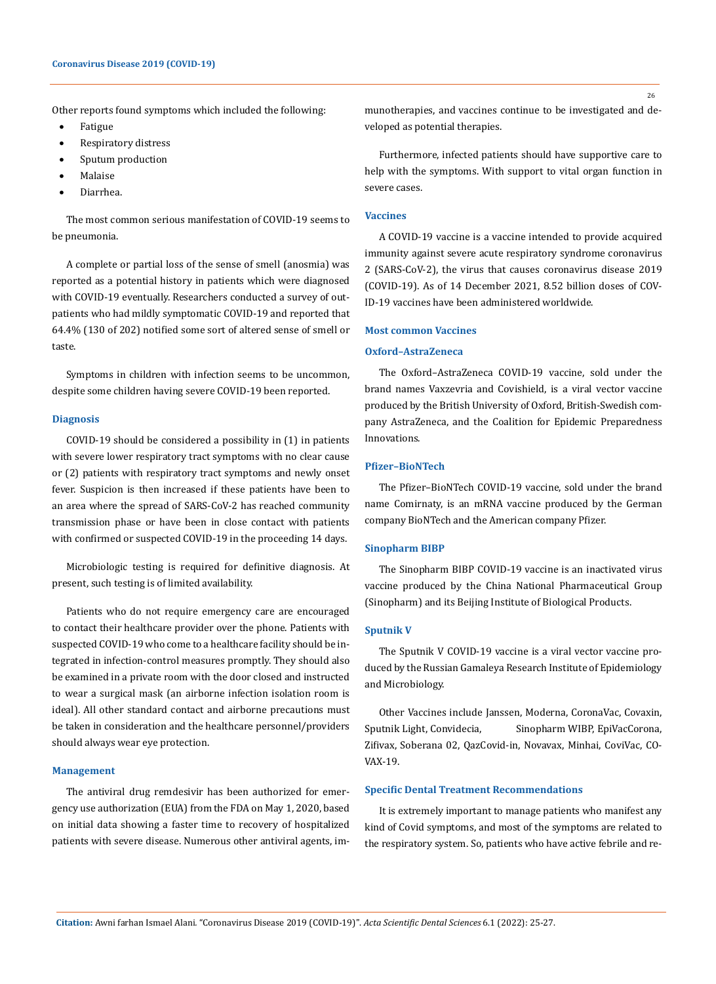Other reports found symptoms which included the following:

- **Fatigue**
- Respiratory distress
- Sputum production
- **Malaise**
- Diarrhea.

The most common serious manifestation of COVID-19 seems to be pneumonia.

A complete or partial loss of the sense of smell (anosmia) was reported as a potential history in patients which were diagnosed with COVID-19 eventually. Researchers conducted a survey of outpatients who had mildly symptomatic COVID-19 and reported that 64.4% (130 of 202) notified some sort of altered sense of smell or taste.

Symptoms in children with infection seems to be uncommon, despite some children having severe COVID-19 been reported.

### **Diagnosis**

COVID-19 should be considered a possibility in (1) in patients with severe lower respiratory tract symptoms with no clear cause or (2) patients with respiratory tract symptoms and newly onset fever. Suspicion is then increased if these patients have been to an area where the spread of SARS-CoV-2 has reached community transmission phase or have been in close contact with patients with confirmed or suspected COVID-19 in the proceeding 14 days.

Microbiologic testing is required for definitive diagnosis. At present, such testing is of limited availability.

Patients who do not require emergency care are encouraged to contact their healthcare provider over the phone. Patients with suspected COVID-19 who come to a healthcare facility should be integrated in infection-control measures promptly. They should also be examined in a private room with the door closed and instructed to wear a surgical mask (an airborne infection isolation room is ideal). All other standard contact and airborne precautions must be taken in consideration and the healthcare personnel/providers should always wear eye protection.

# **Management**

The antiviral drug remdesivir has been authorized for emergency use authorization (EUA) from the FDA on May 1, 2020, based on initial data showing a faster time to recovery of hospitalized patients with severe disease. Numerous other antiviral agents, immunotherapies, and vaccines continue to be investigated and developed as potential therapies.

Furthermore, infected patients should have supportive care to help with the symptoms. With support to vital organ function in severe cases.

### **Vaccines**

A COVID-19 vaccine is a vaccine intended to provide acquired immunity against severe acute respiratory syndrome coronavirus 2 (SARS-CoV-2), the virus that causes coronavirus disease 2019 (COVID-19). As of 14 December 2021, 8.52 billion doses of COV-ID-19 vaccines have been administered worldwide.

#### **Most common Vaccines**

# **Oxford–AstraZeneca**

The Oxford–AstraZeneca COVID-19 vaccine, sold under the brand names Vaxzevria and Covishield, is a viral vector vaccine produced by the British University of Oxford, British-Swedish company AstraZeneca, and the Coalition for Epidemic Preparedness Innovations.

# **Pfizer–BioNTech**

The Pfizer–BioNTech COVID-19 vaccine, sold under the brand name Comirnaty, is an mRNA vaccine produced by the German company BioNTech and the American company Pfizer.

# **Sinopharm BIBP**

The Sinopharm BIBP COVID-19 vaccine is an inactivated virus vaccine produced by the China National Pharmaceutical Group (Sinopharm) and its Beijing Institute of Biological Products.

#### **Sputnik V**

The Sputnik V COVID-19 vaccine is a viral vector vaccine produced by the Russian Gamaleya Research Institute of Epidemiology and Microbiology.

Other Vaccines include Janssen, Moderna, CoronaVac, Covaxin, Sputnik Light, Convidecia, Sinopharm WIBP, EpiVacCorona, Zifivax, Soberana 02, QazCovid-in, Novavax, Minhai, CoviVac, CO-VAX-19.

### **Specific Dental Treatment Recommendations**

It is extremely important to manage patients who manifest any kind of Covid symptoms, and most of the symptoms are related to the respiratory system. So, patients who have active febrile and re-

26